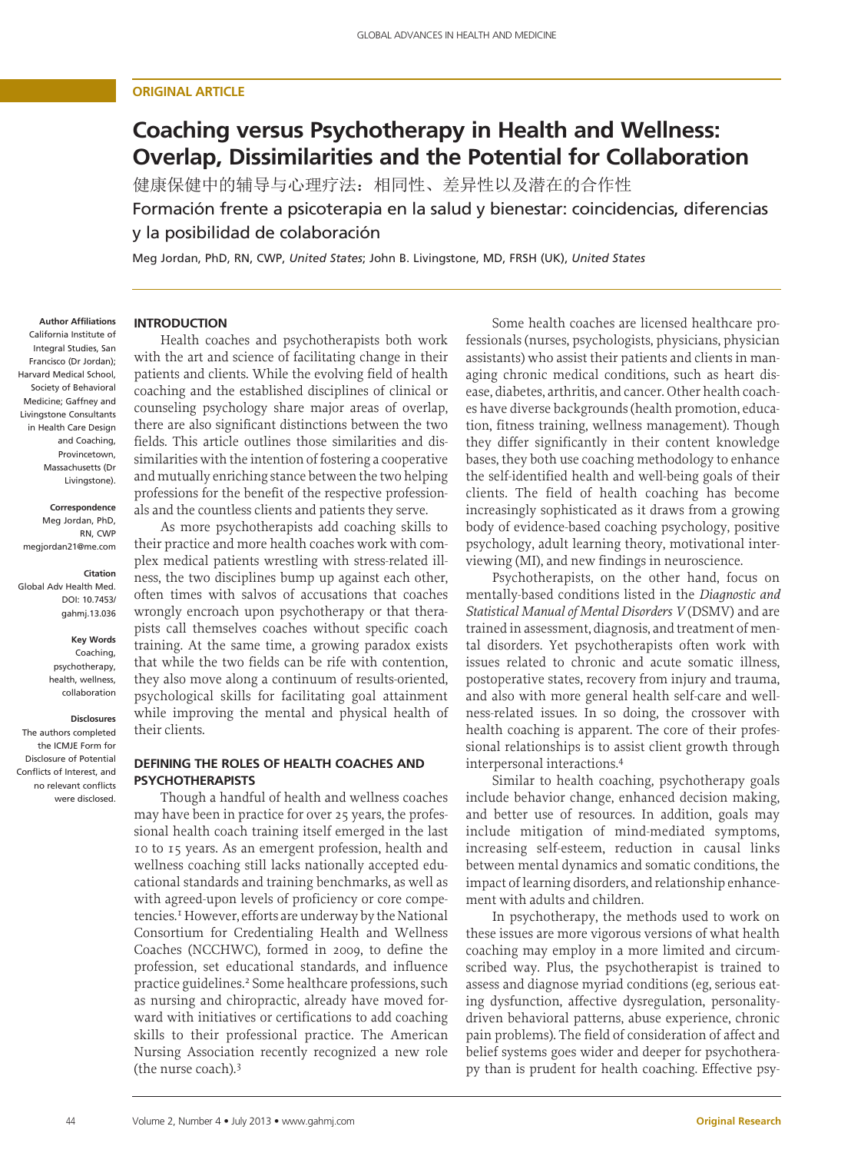# **ORIGINAL ARTICLE**

# **Coaching versus Psychotherapy in Health and Wellness: Overlap, Dissimilarities and the Potential for Collaboration**

健康保健中的辅导与心理疗法: 相同性、差异性以及潜在的合作性 Formación frente a psicoterapia en la salud y bienestar: coincidencias, diferencias y la posibilidad de colaboración

Meg Jordan, PhD, RN, CWP, *United States*; John B. Livingstone, MD, FRSH (UK), *United States*

#### **INTRODUCTION**

California Institute of Integral Studies, San Francisco (Dr Jordan); Harvard Medical School, Society of Behavioral Medicine; Gaffney and Livingstone Consultants in Health Care Design and Coaching, Provincetown, Massachusetts (Dr Livingstone).

**Author Affiliations**

**Correspondence** Meg Jordan, PhD, RN, CWP megjordan21@me.com

**Citation**

Global Adv Health Med. DOI: 10.7453/ gahmj.13.036

# **Key Words**

Coaching, psychotherapy, health, wellness, collaboration

**Disclosures**

The authors completed the ICMJE Form for Disclosure of Potential Conflicts of Interest, and no relevant conflicts were disclosed.

Health coaches and psychotherapists both work with the art and science of facilitating change in their patients and clients. While the evolving field of health coaching and the established disciplines of clinical or counseling psychology share major areas of overlap, there are also significant distinctions between the two fields. This article outlines those similarities and dissimilarities with the intention of fostering a cooperative and mutually enriching stance between the two helping professions for the benefit of the respective professionals and the countless clients and patients they serve.

As more psychotherapists add coaching skills to their practice and more health coaches work with complex medical patients wrestling with stress-related illness, the two disciplines bump up against each other, often times with salvos of accusations that coaches wrongly encroach upon psychotherapy or that therapists call themselves coaches without specific coach training. At the same time, a growing paradox exists that while the two fields can be rife with contention, they also move along a continuum of results-oriented, psychological skills for facilitating goal attainment while improving the mental and physical health of their clients.

# **DEFINING THE ROLES OF HEALTH COACHES AND PSYCHOTHERAPISTS**

Though a handful of health and wellness coaches may have been in practice for over 25 years, the professional health coach training itself emerged in the last 10 to 15 years. As an emergent profession, health and wellness coaching still lacks nationally accepted educational standards and training benchmarks, as well as with agreed-upon levels of proficiency or core competencies.<sup>1</sup> However, efforts are underway by the National Consortium for Credentialing Health and Wellness Coaches (NCCHWC), formed in 2009, to define the profession, set educational standards, and influence practice guidelines.<sup>2</sup> Some healthcare professions, such as nursing and chiropractic, already have moved forward with initiatives or certifications to add coaching skills to their professional practice. The American Nursing Association recently recognized a new role (the nurse coach).3

Some health coaches are licensed healthcare professionals (nurses, psychologists, physicians, physician assistants) who assist their patients and clients in managing chronic medical conditions, such as heart disease, diabetes, arthritis, and cancer. Other health coaches have diverse backgrounds (health promotion, education, fitness training, wellness management). Though they differ significantly in their content knowledge bases, they both use coaching methodology to enhance the self-identified health and well-being goals of their clients. The field of health coaching has become increasingly sophisticated as it draws from a growing body of evidence-based coaching psychology, positive psychology, adult learning theory, motivational interviewing (MI), and new findings in neuroscience.

Psychotherapists, on the other hand, focus on mentally-based conditions listed in the *Diagnostic and Statistical Manual of Mental Disorders V* (DSMV) and are trained in assessment, diagnosis, and treatment of mental disorders. Yet psychotherapists often work with issues related to chronic and acute somatic illness, postoperative states, recovery from injury and trauma, and also with more general health self-care and wellness-related issues. In so doing, the crossover with health coaching is apparent. The core of their professional relationships is to assist client growth through interpersonal interactions.4

Similar to health coaching, psychotherapy goals include behavior change, enhanced decision making, and better use of resources. In addition, goals may include mitigation of mind-mediated symptoms, increasing self-esteem, reduction in causal links between mental dynamics and somatic conditions, the impact of learning disorders, and relationship enhancement with adults and children.

In psychotherapy, the methods used to work on these issues are more vigorous versions of what health coaching may employ in a more limited and circumscribed way. Plus, the psychotherapist is trained to assess and diagnose myriad conditions (eg, serious eating dysfunction, affective dysregulation, personalitydriven behavioral patterns, abuse experience, chronic pain problems). The field of consideration of affect and belief systems goes wider and deeper for psychotherapy than is prudent for health coaching. Effective psy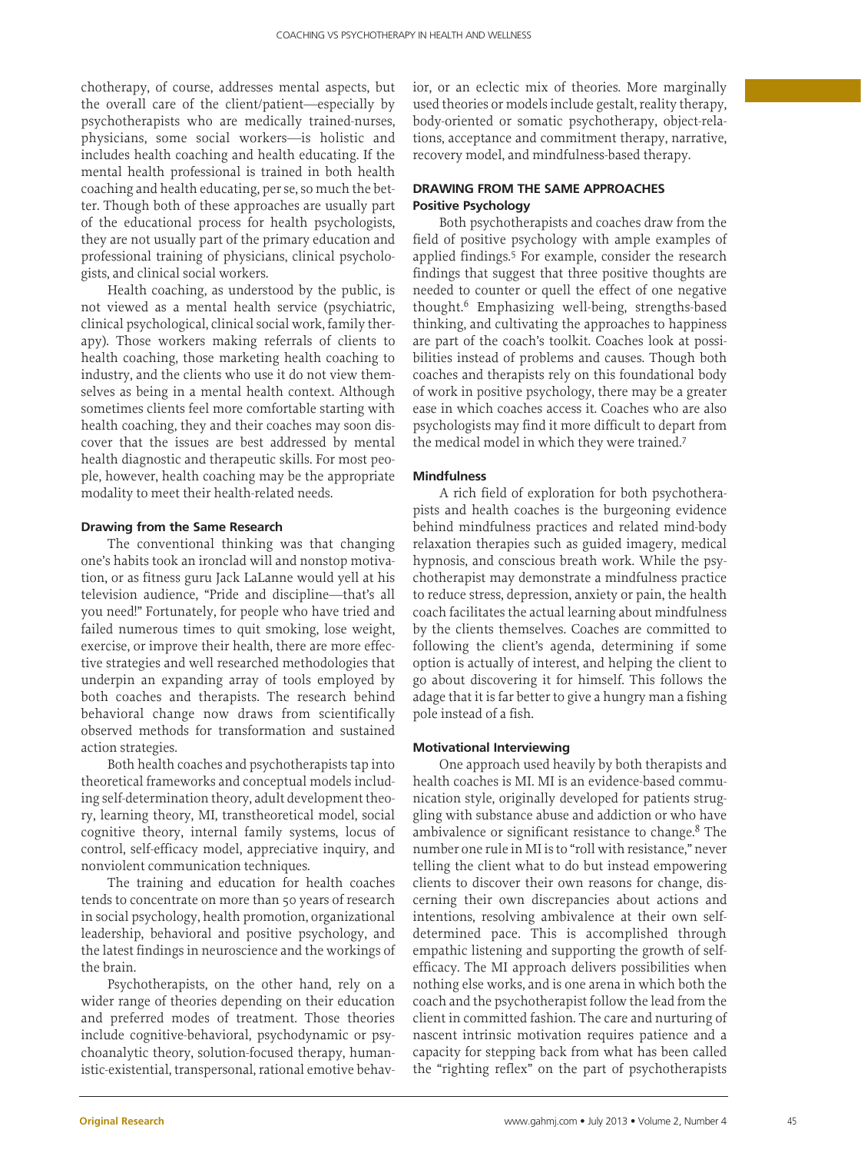chotherapy, of course, addresses mental aspects, but the overall care of the client/patient—especially by psychotherapists who are medically trained-nurses, physicians, some social workers—is holistic and includes health coaching and health educating. If the mental health professional is trained in both health coaching and health educating, per se, so much the better. Though both of these approaches are usually part of the educational process for health psychologists, they are not usually part of the primary education and professional training of physicians, clinical psychologists, and clinical social workers.

Health coaching, as understood by the public, is not viewed as a mental health service (psychiatric, clinical psychological, clinical social work, family therapy). Those workers making referrals of clients to health coaching, those marketing health coaching to industry, and the clients who use it do not view themselves as being in a mental health context. Although sometimes clients feel more comfortable starting with health coaching, they and their coaches may soon discover that the issues are best addressed by mental health diagnostic and therapeutic skills. For most people, however, health coaching may be the appropriate modality to meet their health-related needs.

# **Drawing from the Same Research**

The conventional thinking was that changing one's habits took an ironclad will and nonstop motivation, or as fitness guru Jack LaLanne would yell at his television audience, "Pride and discipline—that's all you need!" Fortunately, for people who have tried and failed numerous times to quit smoking, lose weight, exercise, or improve their health, there are more effective strategies and well researched methodologies that underpin an expanding array of tools employed by both coaches and therapists. The research behind behavioral change now draws from scientifically observed methods for transformation and sustained action strategies.

Both health coaches and psychotherapists tap into theoretical frameworks and conceptual models including self-determination theory, adult development theory, learning theory, MI, transtheoretical model, social cognitive theory, internal family systems, locus of control, self-efficacy model, appreciative inquiry, and nonviolent communication techniques.

The training and education for health coaches tends to concentrate on more than 50 years of research in social psychology, health promotion, organizational leadership, behavioral and positive psychology, and the latest findings in neuroscience and the workings of the brain.

Psychotherapists, on the other hand, rely on a wider range of theories depending on their education and preferred modes of treatment. Those theories include cognitive-behavioral, psychodynamic or psychoanalytic theory, solution-focused therapy, humanistic-existential, transpersonal, rational emotive behavior, or an eclectic mix of theories. More marginally used theories or models include gestalt, reality therapy, body-oriented or somatic psychotherapy, object-relations, acceptance and commitment therapy, narrative, recovery model, and mindfulness-based therapy.

# **DRAWING FROM THE SAME APPROACHES Positive Psychology**

Both psychotherapists and coaches draw from the field of positive psychology with ample examples of applied findings.5 For example, consider the research findings that suggest that three positive thoughts are needed to counter or quell the effect of one negative thought.6 Emphasizing well-being, strengths-based thinking, and cultivating the approaches to happiness are part of the coach's toolkit. Coaches look at possibilities instead of problems and causes. Though both coaches and therapists rely on this foundational body of work in positive psychology, there may be a greater ease in which coaches access it. Coaches who are also psychologists may find it more difficult to depart from the medical model in which they were trained.7

## **Mindfulness**

A rich field of exploration for both psychotherapists and health coaches is the burgeoning evidence behind mindfulness practices and related mind-body relaxation therapies such as guided imagery, medical hypnosis, and conscious breath work. While the psychotherapist may demonstrate a mindfulness practice to reduce stress, depression, anxiety or pain, the health coach facilitates the actual learning about mindfulness by the clients themselves. Coaches are committed to following the client's agenda, determining if some option is actually of interest, and helping the client to go about discovering it for himself. This follows the adage that it is far better to give a hungry man a fishing pole instead of a fish.

#### **Motivational Interviewing**

One approach used heavily by both therapists and health coaches is MI. MI is an evidence-based communication style, originally developed for patients struggling with substance abuse and addiction or who have ambivalence or significant resistance to change.<sup>8</sup> The number one rule in MI is to "roll with resistance," never telling the client what to do but instead empowering clients to discover their own reasons for change, discerning their own discrepancies about actions and intentions, resolving ambivalence at their own selfdetermined pace. This is accomplished through empathic listening and supporting the growth of selfefficacy. The MI approach delivers possibilities when nothing else works, and is one arena in which both the coach and the psychotherapist follow the lead from the client in committed fashion. The care and nurturing of nascent intrinsic motivation requires patience and a capacity for stepping back from what has been called the "righting reflex" on the part of psychotherapists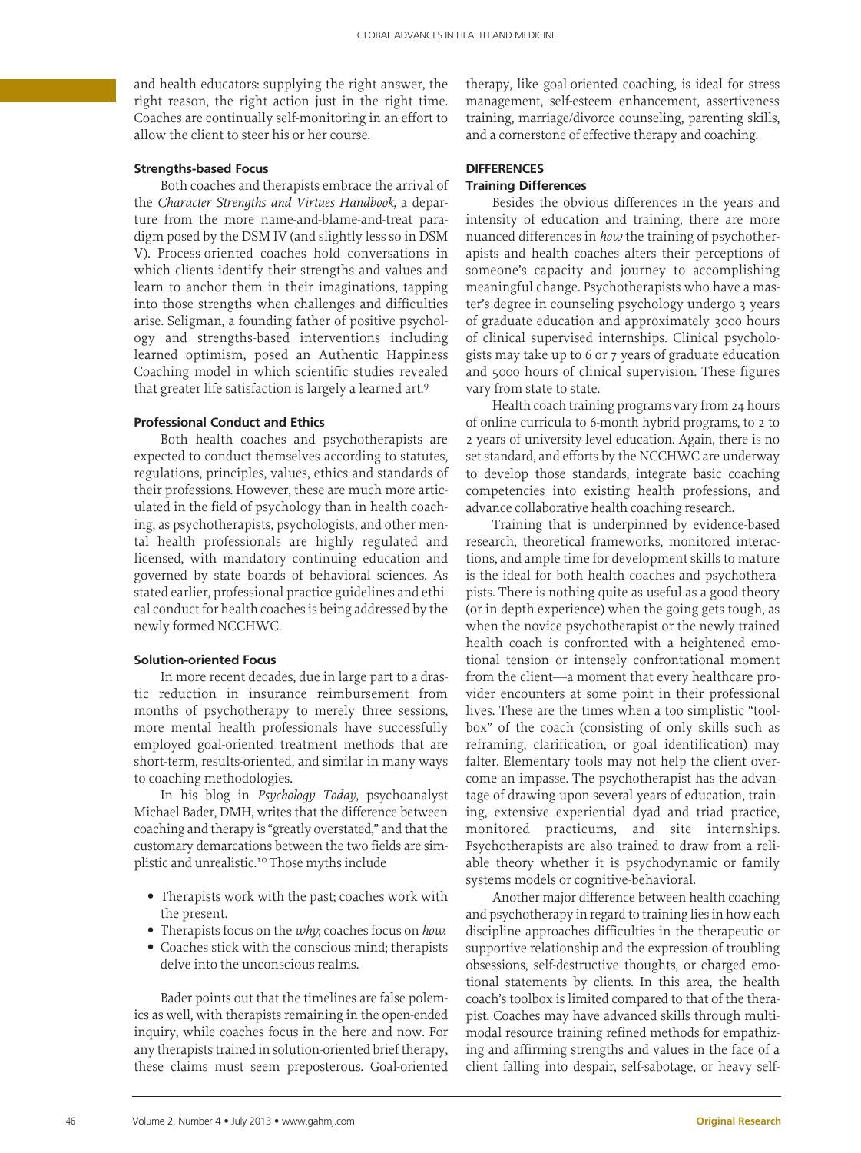and health educators: supplying the right answer, the right reason, the right action just in the right time. Coaches are continually self-monitoring in an effort to allow the client to steer his or her course.

## **Strengths-based Focus**

Both coaches and therapists embrace the arrival of the *Character Strengths and Virtues Handbook,* a departure from the more name-and-blame-and-treat paradigm posed by the DSM IV (and slightly less so in DSM V). Process-oriented coaches hold conversations in which clients identify their strengths and values and learn to anchor them in their imaginations, tapping into those strengths when challenges and difficulties arise. Seligman, a founding father of positive psychology and strengths-based interventions including learned optimism, posed an Authentic Happiness Coaching model in which scientific studies revealed that greater life satisfaction is largely a learned art.9

## **Professional Conduct and Ethics**

Both health coaches and psychotherapists are expected to conduct themselves according to statutes, regulations, principles, values, ethics and standards of their professions. However, these are much more articulated in the field of psychology than in health coaching, as psychotherapists, psychologists, and other mental health professionals are highly regulated and licensed, with mandatory continuing education and governed by state boards of behavioral sciences. As stated earlier, professional practice guidelines and ethical conduct for health coaches is being addressed by the newly formed NCCHWC.

## **Solution-oriented Focus**

In more recent decades, due in large part to a drastic reduction in insurance reimbursement from months of psychotherapy to merely three sessions, more mental health professionals have successfully employed goal-oriented treatment methods that are short-term, results-oriented, and similar in many ways to coaching methodologies.

In his blog in *Psychology Today*, psychoanalyst Michael Bader, DMH, writes that the difference between coaching and therapy is "greatly overstated," and that the customary demarcations between the two fields are simplistic and unrealistic.10 Those myths include

- Therapists work with the past; coaches work with the present.
- Therapists focus on the *why*; coaches focus on *how.*
- Coaches stick with the conscious mind; therapists delve into the unconscious realms.

Bader points out that the timelines are false polemics as well, with therapists remaining in the open-ended inquiry, while coaches focus in the here and now. For any therapists trained in solution-oriented brief therapy, these claims must seem preposterous. Goal-oriented

therapy, like goal-oriented coaching, is ideal for stress management, self-esteem enhancement, assertiveness training, marriage/divorce counseling, parenting skills, and a cornerstone of effective therapy and coaching.

# **DIFFERENCES**

# **Training Differences**

Besides the obvious differences in the years and intensity of education and training, there are more nuanced differences in *how* the training of psychotherapists and health coaches alters their perceptions of someone's capacity and journey to accomplishing meaningful change. Psychotherapists who have a master's degree in counseling psychology undergo 3 years of graduate education and approximately 3000 hours of clinical supervised internships. Clinical psychologists may take up to 6 or 7 years of graduate education and 5000 hours of clinical supervision. These figures vary from state to state.

Health coach training programs vary from 24 hours of online curricula to 6-month hybrid programs, to 2 to 2 years of university-level education. Again, there is no set standard, and efforts by the NCCHWC are underway to develop those standards, integrate basic coaching competencies into existing health professions, and advance collaborative health coaching research.

Training that is underpinned by evidence-based research, theoretical frameworks, monitored interactions, and ample time for development skills to mature is the ideal for both health coaches and psychotherapists. There is nothing quite as useful as a good theory (or in-depth experience) when the going gets tough, as when the novice psychotherapist or the newly trained health coach is confronted with a heightened emotional tension or intensely confrontational moment from the client—a moment that every healthcare provider encounters at some point in their professional lives. These are the times when a too simplistic "toolbox" of the coach (consisting of only skills such as reframing, clarification, or goal identification) may falter. Elementary tools may not help the client overcome an impasse. The psychotherapist has the advantage of drawing upon several years of education, training, extensive experiential dyad and triad practice, monitored practicums, and site internships. Psychotherapists are also trained to draw from a reliable theory whether it is psychodynamic or family systems models or cognitive-behavioral.

Another major difference between health coaching and psychotherapy in regard to training lies in how each discipline approaches difficulties in the therapeutic or supportive relationship and the expression of troubling obsessions, self-destructive thoughts, or charged emotional statements by clients. In this area, the health coach's toolbox is limited compared to that of the therapist. Coaches may have advanced skills through multimodal resource training refined methods for empathizing and affirming strengths and values in the face of a client falling into despair, self-sabotage, or heavy self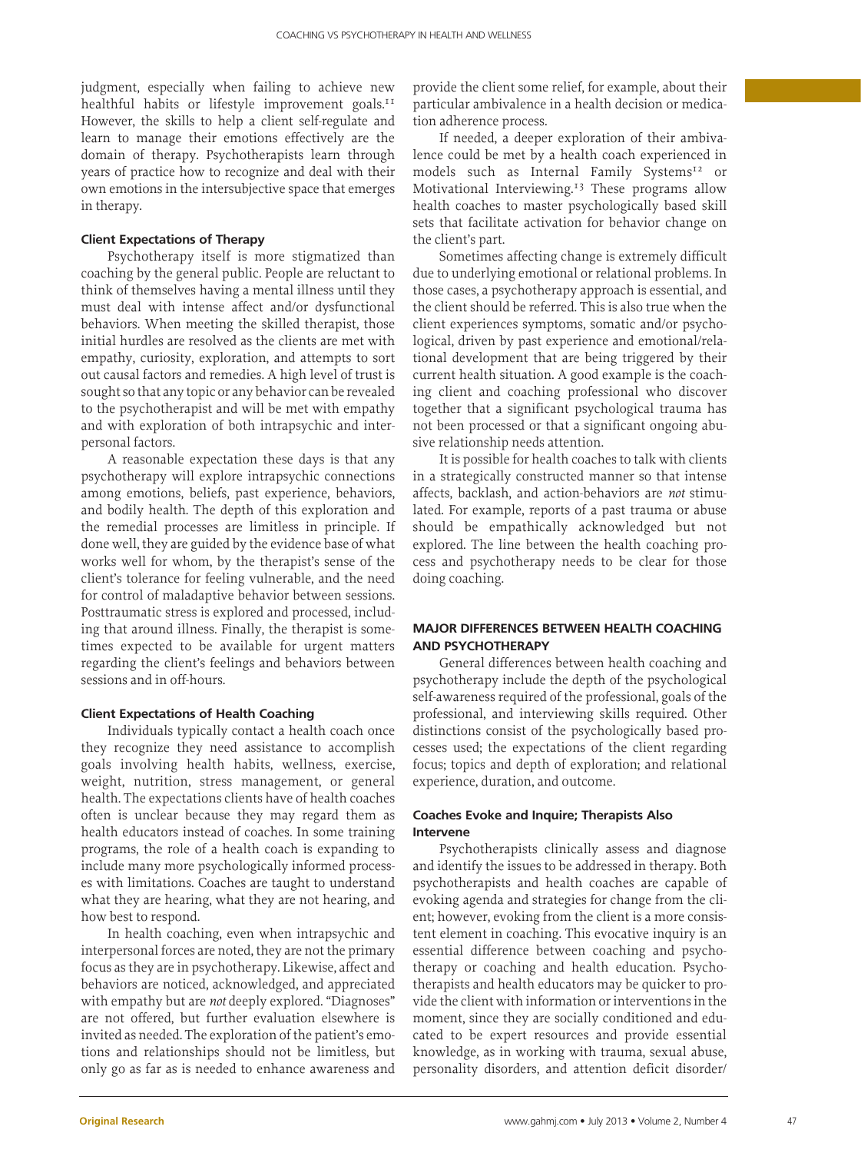judgment, especially when failing to achieve new healthful habits or lifestyle improvement goals.<sup>11</sup> However, the skills to help a client self-regulate and learn to manage their emotions effectively are the domain of therapy. Psychotherapists learn through years of practice how to recognize and deal with their own emotions in the intersubjective space that emerges in therapy.

# **Client Expectations of Therapy**

Psychotherapy itself is more stigmatized than coaching by the general public. People are reluctant to think of themselves having a mental illness until they must deal with intense affect and/or dysfunctional behaviors. When meeting the skilled therapist, those initial hurdles are resolved as the clients are met with empathy, curiosity, exploration, and attempts to sort out causal factors and remedies. A high level of trust is sought so that any topic or any behavior can be revealed to the psychotherapist and will be met with empathy and with exploration of both intrapsychic and interpersonal factors.

A reasonable expectation these days is that any psychotherapy will explore intrapsychic connections among emotions, beliefs, past experience, behaviors, and bodily health. The depth of this exploration and the remedial processes are limitless in principle. If done well, they are guided by the evidence base of what works well for whom, by the therapist's sense of the client's tolerance for feeling vulnerable, and the need for control of maladaptive behavior between sessions. Posttraumatic stress is explored and processed, including that around illness. Finally, the therapist is sometimes expected to be available for urgent matters regarding the client's feelings and behaviors between sessions and in off-hours.

#### **Client Expectations of Health Coaching**

Individuals typically contact a health coach once they recognize they need assistance to accomplish goals involving health habits, wellness, exercise, weight, nutrition, stress management, or general health. The expectations clients have of health coaches often is unclear because they may regard them as health educators instead of coaches. In some training programs, the role of a health coach is expanding to include many more psychologically informed processes with limitations. Coaches are taught to understand what they are hearing, what they are not hearing, and how best to respond.

In health coaching, even when intrapsychic and interpersonal forces are noted, they are not the primary focus as they are in psychotherapy. Likewise, affect and behaviors are noticed, acknowledged, and appreciated with empathy but are *not* deeply explored. "Diagnoses" are not offered, but further evaluation elsewhere is invited as needed. The exploration of the patient's emotions and relationships should not be limitless, but only go as far as is needed to enhance awareness and

provide the client some relief, for example, about their particular ambivalence in a health decision or medication adherence process.

If needed, a deeper exploration of their ambivalence could be met by a health coach experienced in models such as Internal Family Systems<sup>12</sup> or Motivational Interviewing.<sup>13</sup> These programs allow health coaches to master psychologically based skill sets that facilitate activation for behavior change on the client's part.

Sometimes affecting change is extremely difficult due to underlying emotional or relational problems. In those cases, a psychotherapy approach is essential, and the client should be referred. This is also true when the client experiences symptoms, somatic and/or psychological, driven by past experience and emotional/relational development that are being triggered by their current health situation. A good example is the coaching client and coaching professional who discover together that a significant psychological trauma has not been processed or that a significant ongoing abusive relationship needs attention.

It is possible for health coaches to talk with clients in a strategically constructed manner so that intense affects, backlash, and action-behaviors are *not* stimulated. For example, reports of a past trauma or abuse should be empathically acknowledged but not explored. The line between the health coaching process and psychotherapy needs to be clear for those doing coaching.

# **MAJOR DIFFERENCES BETWEEN HEALTH COACHING AND PSYCHOTHERAPY**

General differences between health coaching and psychotherapy include the depth of the psychological self-awareness required of the professional, goals of the professional, and interviewing skills required. Other distinctions consist of the psychologically based processes used; the expectations of the client regarding focus; topics and depth of exploration; and relational experience, duration, and outcome.

# **Coaches Evoke and Inquire; Therapists Also Intervene**

Psychotherapists clinically assess and diagnose and identify the issues to be addressed in therapy. Both psychotherapists and health coaches are capable of evoking agenda and strategies for change from the client; however, evoking from the client is a more consistent element in coaching. This evocative inquiry is an essential difference between coaching and psychotherapy or coaching and health education. Psychotherapists and health educators may be quicker to provide the client with information or interventions in the moment, since they are socially conditioned and educated to be expert resources and provide essential knowledge, as in working with trauma, sexual abuse, personality disorders, and attention deficit disorder/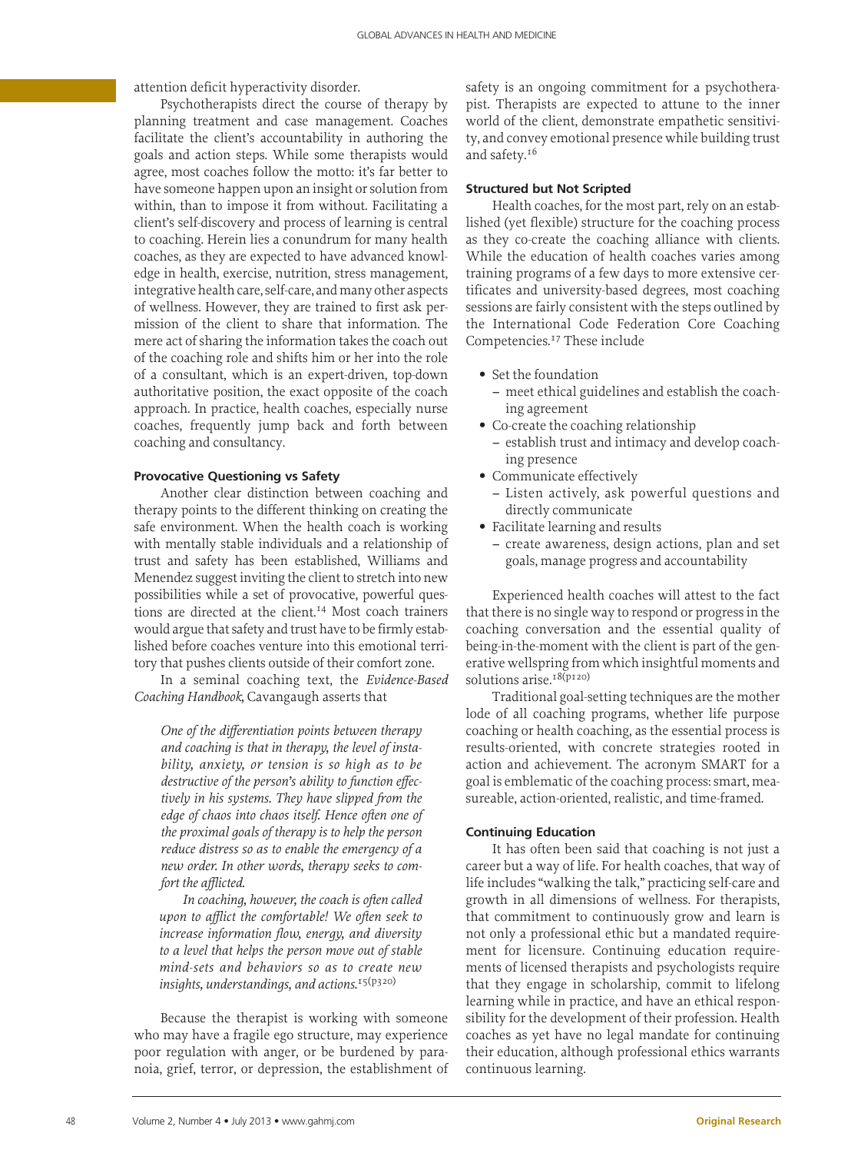attention deficit hyperactivity disorder.

Psychotherapists direct the course of therapy by planning treatment and case management. Coaches facilitate the client's accountability in authoring the goals and action steps. While some therapists would agree, most coaches follow the motto: it's far better to have someone happen upon an insight or solution from within, than to impose it from without. Facilitating a client's self-discovery and process of learning is central to coaching. Herein lies a conundrum for many health coaches, as they are expected to have advanced knowledge in health, exercise, nutrition, stress management, integrative health care, self-care, and many other aspects of wellness. However, they are trained to first ask permission of the client to share that information. The mere act of sharing the information takes the coach out of the coaching role and shifts him or her into the role of a consultant, which is an expert-driven, top-down authoritative position, the exact opposite of the coach approach. In practice, health coaches, especially nurse coaches, frequently jump back and forth between coaching and consultancy.

# **Provocative Questioning vs Safety**

Another clear distinction between coaching and therapy points to the different thinking on creating the safe environment. When the health coach is working with mentally stable individuals and a relationship of trust and safety has been established, Williams and Menendez suggest inviting the client to stretch into new possibilities while a set of provocative, powerful questions are directed at the client.<sup>14</sup> Most coach trainers would argue that safety and trust have to be firmly established before coaches venture into this emotional territory that pushes clients outside of their comfort zone.

In a seminal coaching text, the *Evidence-Based Coaching Handbook,* Cavangaugh asserts that

*One of the di!erentiation points between therapy and coaching is that in therapy, the level of instability, anxiety, or tension is so high as to be*  destructive of the person's ability to function effec*tively in his systems. They have slipped from the edge of chaos into chaos itself. Hence often one of the proximal goals of therapy is to help the person reduce distress so as to enable the emergency of a new order. In other words, therapy seeks to comfort the afflicted.* 

*In coaching, however, the coach is o"en called upon to afflict the comfortable! We often seek to increase information flow, energy, and diversity to a level that helps the person move out of stable mind-sets and behaviors so as to create new insights, understandings, and actions.*15(p320)

Because the therapist is working with someone who may have a fragile ego structure, may experience poor regulation with anger, or be burdened by paranoia, grief, terror, or depression, the establishment of safety is an ongoing commitment for a psychotherapist. Therapists are expected to attune to the inner world of the client, demonstrate empathetic sensitivity, and convey emotional presence while building trust and safety.16

## **Structured but Not Scripted**

Health coaches, for the most part, rely on an established (yet flexible) structure for the coaching process as they co-create the coaching alliance with clients. While the education of health coaches varies among training programs of a few days to more extensive certificates and university-based degrees, most coaching sessions are fairly consistent with the steps outlined by the International Code Federation Core Coaching Competencies.17 These include

- Set the foundation
	- meet ethical guidelines and establish the coaching agreement
- Co-create the coaching relationship
	- establish trust and intimacy and develop coaching presence
- Communicate effectively
	- < Listen actively, ask powerful questions and directly communicate
- Facilitate learning and results
- < create awareness, design actions, plan and set goals, manage progress and accountability

Experienced health coaches will attest to the fact that there is no single way to respond or progress in the coaching conversation and the essential quality of being-in-the-moment with the client is part of the generative wellspring from which insightful moments and solutions arise.<sup>18(p120)</sup>

Traditional goal-setting techniques are the mother lode of all coaching programs, whether life purpose coaching or health coaching, as the essential process is results-oriented, with concrete strategies rooted in action and achievement. The acronym SMART for a goal is emblematic of the coaching process: smart, measureable, action-oriented, realistic, and time-framed.

#### **Continuing Education**

It has often been said that coaching is not just a career but a way of life. For health coaches, that way of life includes "walking the talk," practicing self-care and growth in all dimensions of wellness. For therapists, that commitment to continuously grow and learn is not only a professional ethic but a mandated requirement for licensure. Continuing education requirements of licensed therapists and psychologists require that they engage in scholarship, commit to lifelong learning while in practice, and have an ethical responsibility for the development of their profession. Health coaches as yet have no legal mandate for continuing their education, although professional ethics warrants continuous learning.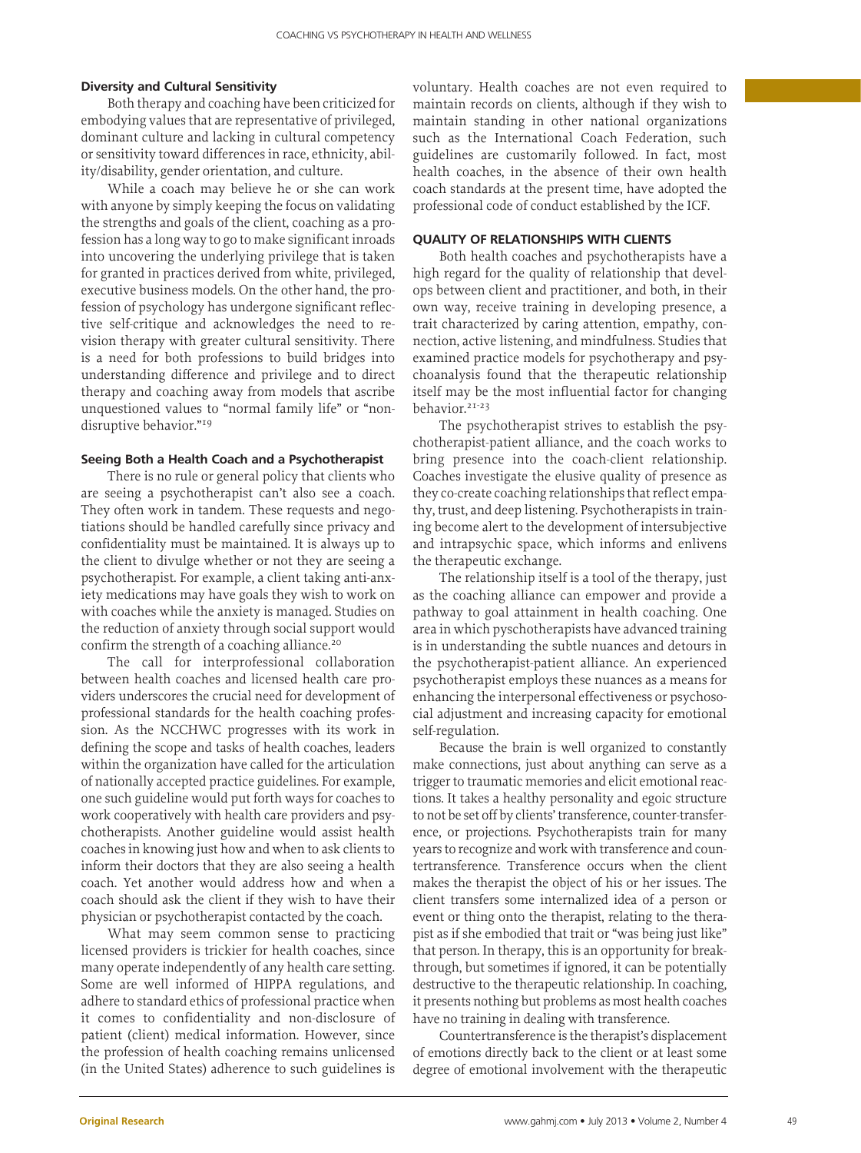# **Diversity and Cultural Sensitivity**

Both therapy and coaching have been criticized for embodying values that are representative of privileged, dominant culture and lacking in cultural competency or sensitivity toward differences in race, ethnicity, ability/disability, gender orientation, and culture.

While a coach may believe he or she can work with anyone by simply keeping the focus on validating the strengths and goals of the client, coaching as a profession has a long way to go to make significant inroads into uncovering the underlying privilege that is taken for granted in practices derived from white, privileged, executive business models. On the other hand, the profession of psychology has undergone significant reflective self-critique and acknowledges the need to revision therapy with greater cultural sensitivity. There is a need for both professions to build bridges into understanding difference and privilege and to direct therapy and coaching away from models that ascribe unquestioned values to "normal family life" or "nondisruptive behavior."<sup>19</sup>

#### **Seeing Both a Health Coach and a Psychotherapist**

There is no rule or general policy that clients who are seeing a psychotherapist can't also see a coach. They often work in tandem. These requests and negotiations should be handled carefully since privacy and confidentiality must be maintained. It is always up to the client to divulge whether or not they are seeing a psychotherapist. For example, a client taking anti-anxiety medications may have goals they wish to work on with coaches while the anxiety is managed. Studies on the reduction of anxiety through social support would confirm the strength of a coaching alliance.<sup>20</sup>

The call for interprofessional collaboration between health coaches and licensed health care providers underscores the crucial need for development of professional standards for the health coaching profession. As the NCCHWC progresses with its work in defining the scope and tasks of health coaches, leaders within the organization have called for the articulation of nationally accepted practice guidelines. For example, one such guideline would put forth ways for coaches to work cooperatively with health care providers and psychotherapists. Another guideline would assist health coaches in knowing just how and when to ask clients to inform their doctors that they are also seeing a health coach. Yet another would address how and when a coach should ask the client if they wish to have their physician or psychotherapist contacted by the coach.

What may seem common sense to practicing licensed providers is trickier for health coaches, since many operate independently of any health care setting. Some are well informed of HIPPA regulations, and adhere to standard ethics of professional practice when it comes to confidentiality and non-disclosure of patient (client) medical information. However, since the profession of health coaching remains unlicensed (in the United States) adherence to such guidelines is

voluntary. Health coaches are not even required to maintain records on clients, although if they wish to maintain standing in other national organizations such as the International Coach Federation, such guidelines are customarily followed. In fact, most health coaches, in the absence of their own health coach standards at the present time, have adopted the professional code of conduct established by the ICF.

## **QUALITY OF RELATIONSHIPS WITH CLIENTS**

Both health coaches and psychotherapists have a high regard for the quality of relationship that develops between client and practitioner, and both, in their own way, receive training in developing presence, a trait characterized by caring attention, empathy, connection, active listening, and mindfulness. Studies that examined practice models for psychotherapy and psychoanalysis found that the therapeutic relationship itself may be the most influential factor for changing behavior.21-23

The psychotherapist strives to establish the psychotherapist-patient alliance, and the coach works to bring presence into the coach-client relationship. Coaches investigate the elusive quality of presence as they co-create coaching relationships that reflect empathy, trust, and deep listening. Psychotherapists in training become alert to the development of intersubjective and intrapsychic space, which informs and enlivens the therapeutic exchange.

The relationship itself is a tool of the therapy, just as the coaching alliance can empower and provide a pathway to goal attainment in health coaching. One area in which pyschotherapists have advanced training is in understanding the subtle nuances and detours in the psychotherapist-patient alliance. An experienced psychotherapist employs these nuances as a means for enhancing the interpersonal effectiveness or psychosocial adjustment and increasing capacity for emotional self-regulation.

Because the brain is well organized to constantly make connections, just about anything can serve as a trigger to traumatic memories and elicit emotional reactions. It takes a healthy personality and egoic structure to not be set off by clients' transference, counter-transference, or projections. Psychotherapists train for many years to recognize and work with transference and countertransference. Transference occurs when the client makes the therapist the object of his or her issues. The client transfers some internalized idea of a person or event or thing onto the therapist, relating to the therapist as if she embodied that trait or "was being just like" that person. In therapy, this is an opportunity for breakthrough, but sometimes if ignored, it can be potentially destructive to the therapeutic relationship. In coaching, it presents nothing but problems as most health coaches have no training in dealing with transference.

Countertransference is the therapist's displacement of emotions directly back to the client or at least some degree of emotional involvement with the therapeutic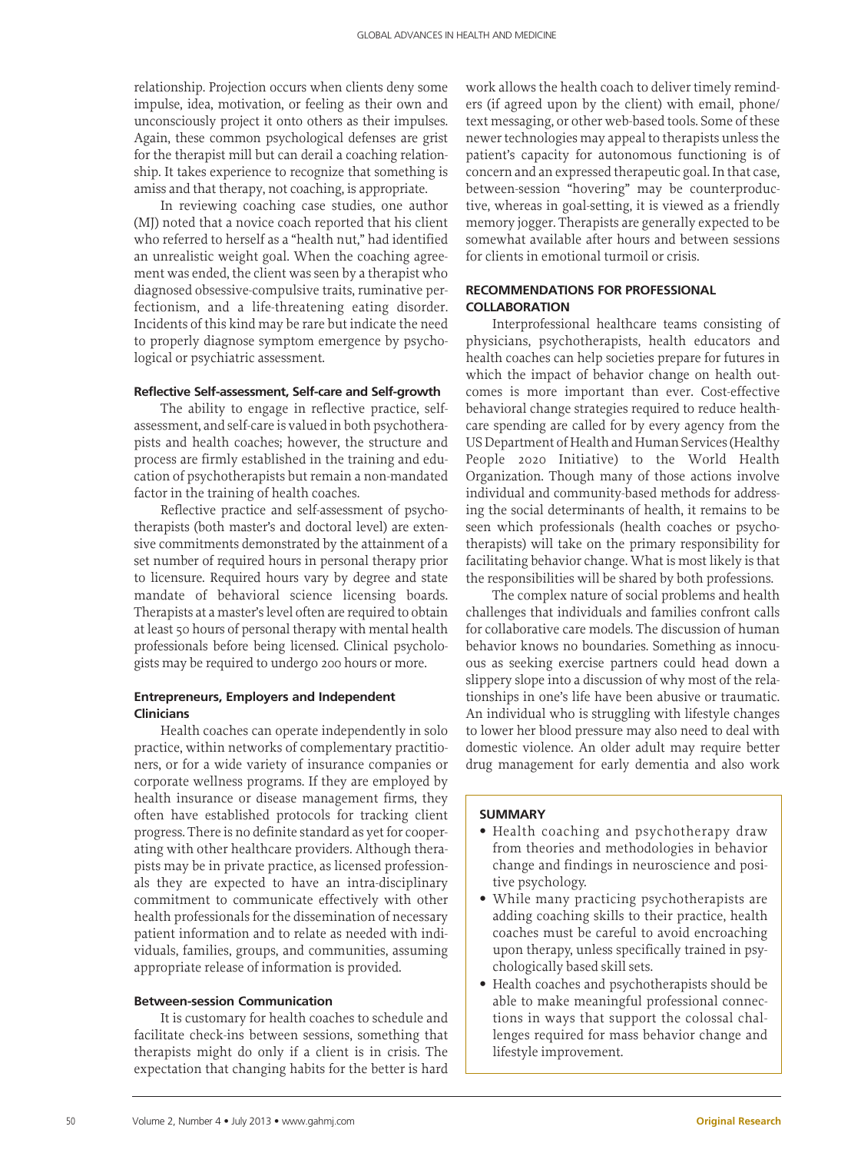relationship. Projection occurs when clients deny some impulse, idea, motivation, or feeling as their own and unconsciously project it onto others as their impulses. Again, these common psychological defenses are grist for the therapist mill but can derail a coaching relationship. It takes experience to recognize that something is amiss and that therapy, not coaching, is appropriate.

In reviewing coaching case studies, one author (MJ) noted that a novice coach reported that his client who referred to herself as a "health nut," had identified an unrealistic weight goal. When the coaching agreement was ended, the client was seen by a therapist who diagnosed obsessive-compulsive traits, ruminative perfectionism, and a life-threatening eating disorder. Incidents of this kind may be rare but indicate the need to properly diagnose symptom emergence by psychological or psychiatric assessment.

## **Reflective Self-assessment, Self-care and Self-growth**

The ability to engage in reflective practice, selfassessment, and self-care is valued in both psychotherapists and health coaches; however, the structure and process are firmly established in the training and education of psychotherapists but remain a non-mandated factor in the training of health coaches.

Reflective practice and self-assessment of psychotherapists (both master's and doctoral level) are extensive commitments demonstrated by the attainment of a set number of required hours in personal therapy prior to licensure. Required hours vary by degree and state mandate of behavioral science licensing boards. Therapists at a master's level often are required to obtain at least 50 hours of personal therapy with mental health professionals before being licensed. Clinical psychologists may be required to undergo 200 hours or more.

# **Entrepreneurs, Employers and Independent Clinicians**

Health coaches can operate independently in solo practice, within networks of complementary practitioners, or for a wide variety of insurance companies or corporate wellness programs. If they are employed by health insurance or disease management firms, they often have established protocols for tracking client progress. There is no definite standard as yet for cooperating with other healthcare providers. Although therapists may be in private practice, as licensed professionals they are expected to have an intra-disciplinary commitment to communicate effectively with other health professionals for the dissemination of necessary patient information and to relate as needed with individuals, families, groups, and communities, assuming appropriate release of information is provided.

#### **Between-session Communication**

It is customary for health coaches to schedule and facilitate check-ins between sessions, something that therapists might do only if a client is in crisis. The expectation that changing habits for the better is hard

work allows the health coach to deliver timely reminders (if agreed upon by the client) with email, phone/ text messaging, or other web-based tools. Some of these newer technologies may appeal to therapists unless the patient's capacity for autonomous functioning is of concern and an expressed therapeutic goal. In that case, between-session "hovering" may be counterproductive, whereas in goal-setting, it is viewed as a friendly memory jogger. Therapists are generally expected to be somewhat available after hours and between sessions for clients in emotional turmoil or crisis.

# **RECOMMENDATIONS FOR PROFESSIONAL COLLABORATION**

Interprofessional healthcare teams consisting of physicians, psychotherapists, health educators and health coaches can help societies prepare for futures in which the impact of behavior change on health outcomes is more important than ever. Cost-effective behavioral change strategies required to reduce healthcare spending are called for by every agency from the US Department of Health and Human Services (Healthy People 2020 Initiative) to the World Health Organization. Though many of those actions involve individual and community-based methods for addressing the social determinants of health, it remains to be seen which professionals (health coaches or psychotherapists) will take on the primary responsibility for facilitating behavior change. What is most likely is that the responsibilities will be shared by both professions.

The complex nature of social problems and health challenges that individuals and families confront calls for collaborative care models. The discussion of human behavior knows no boundaries. Something as innocuous as seeking exercise partners could head down a slippery slope into a discussion of why most of the relationships in one's life have been abusive or traumatic. An individual who is struggling with lifestyle changes to lower her blood pressure may also need to deal with domestic violence. An older adult may require better drug management for early dementia and also work

#### **SUMMARY**

- Health coaching and psychotherapy draw from theories and methodologies in behavior change and findings in neuroscience and positive psychology.
- While many practicing psychotherapists are adding coaching skills to their practice, health coaches must be careful to avoid encroaching upon therapy, unless specifically trained in psychologically based skill sets.
- Health coaches and psychotherapists should be able to make meaningful professional connections in ways that support the colossal challenges required for mass behavior change and lifestyle improvement.